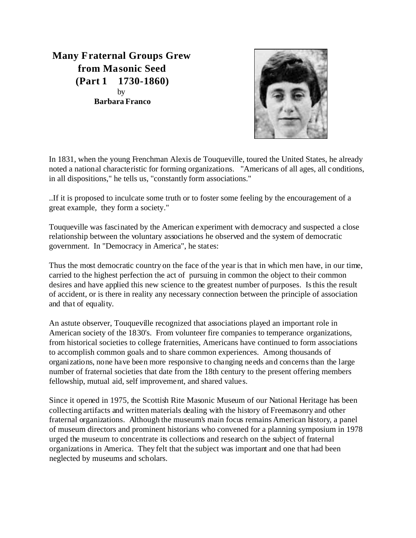**Many Fraternal Groups Grew from Masonic Seed (Part 1 1730-1860)** by **Barbara Franco**



In 1831, when the young Frenchman Alexis de Touqueville, toured the United States, he already noted a national characteristic for forming organizations. "Americans of all ages, all conditions, in all dispositions," he tells us, "constantly form associations."

..If it is proposed to inculcate some truth or to foster some feeling by the encouragement of a great example, they form a society."

Touqueville was fascinated by the American experiment with democracy and suspected a close relationship between the voluntary associations he observed and the system of democratic government. In "Democracy in America", he states:

Thus the most democratic country on the face of the year is that in which men have, in our time, carried to the highest perfection the act of pursuing in common the object to their common desires and have applied this new science to the greatest number of purposes. Is this the result of accident, or is there in reality any necessary connection between the principle of association and that of equality.

An astute observer, Touqueville recognized that associations played an important role in American society of the 1830's. From volunteer fire companies to temperance organizations, from historical societies to college fraternities, Americans have continued to form associations to accomplish common goals and to share common experiences. Among thousands of organizations, none have been more responsive to changing needs and concerns than the large number of fraternal societies that date from the 18th century to the present offering members fellowship, mutual aid, self improvement, and shared values.

Since it opened in 1975, the Scottish Rite Masonic Museum of our National Heritage has been collecting artifacts and written materials dealing with the history of Freemasonry and other fraternal organizations. Although the museum's main focus remains American history, a panel of museum directors and prominent historians who convened for a planning symposium in 1978 urged the museum to concentrate its collections and research on the subject of fraternal organizations in America. They felt that the subject was important and one that had been neglected by museums and scholars.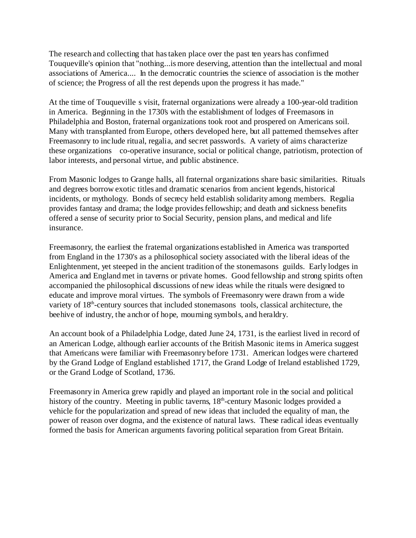The research and collecting that has taken place over the past ten years has confirmed Touqueville's opinion that "nothing...is more deserving, attention than the intellectual and moral associations of America.... In the democratic countries the science of association is the mother of science; the Progress of all the rest depends upon the progress it has made."

At the time of Touqueville s visit, fraternal organizations were already a 100-year-old tradition in America. Beginning in the 1730's with the establishment of lodges of Freemasons in Philadelphia and Boston, fraternal organizations took root and prospered on Americans soil. Many with transplanted from Europe, others developed here, but all patterned themselves after Freemasonry to include ritual, regalia, and secret passwords. A variety of aims characterize these organizations co-operative insurance, social or political change, patriotism, protection of labor interests, and personal virtue, and public abstinence.

From Masonic lodges to Grange halls, all fraternal organizations share basic similarities. Rituals and degrees borrow exotic titles and dramatic scenarios from ancient legends, historical incidents, or mythology. Bonds of secrecy held establish solidarity among members. Regalia provides fantasy and drama; the lodge provides fellowship; and death and sickness benefits offered a sense of security prior to Social Security, pension plans, and medical and life insurance.

Freemasonry, the earliest the fraternal organizations established in America was transported from England in the 1730's as a philosophical society associated with the liberal ideas of the Enlightenment, yet steeped in the ancient tradition of the stonemasons guilds. Early lodges in America and England met in taverns or private homes. Good fellowship and strong spirits often accompanied the philosophical discussions of new ideas while the rituals were designed to educate and improve moral virtues. The symbols of Freemasonry were drawn from a wide variety of 18<sup>th</sup>-century sources that included stonemasons tools, classical architecture, the beehive of industry, the anchor of hope, mourning symbols, and heraldry.

An account book of a Philadelphia Lodge, dated June 24, 1731, is the earliest lived in record of an American Lodge, although earlier accounts of the British Masonic items in America suggest that Americans were familiar with Freemasonry before 1731. American lodges were chartered by the Grand Lodge of England established 1717, the Grand Lodge of Ireland established 1729, or the Grand Lodge of Scotland, 1736.

Freemasonry in America grew rapidly and played an important role in the social and political history of the country. Meeting in public taverns, 18<sup>th</sup>-century Masonic lodges provided a vehicle for the popularization and spread of new ideas that included the equality of man, the power of reason over dogma, and the existence of natural laws. These radical ideas eventually formed the basis for American arguments favoring political separation from Great Britain.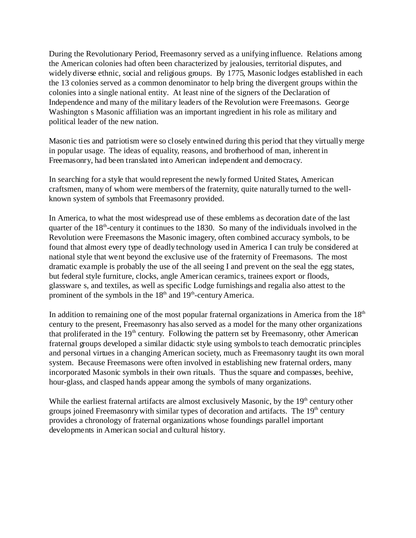During the Revolutionary Period, Freemasonry served as a unifying influence. Relations among the American colonies had often been characterized by jealousies, territorial disputes, and widely diverse ethnic, social and religious groups. By 1775, Masonic lodges established in each the 13 colonies served as a common denominator to help bring the divergent groups within the colonies into a single national entity. At least nine of the signers of the Declaration of Independence and many of the military leaders of the Revolution were Freemasons. George Washington s Masonic affiliation was an important ingredient in his role as military and political leader of the new nation.

Masonic ties and patriotism were so closely entwined during this period that they virtually merge in popular usage. The ideas of equality, reasons, and brotherhood of man, inherent in Freemasonry, had been translated into American independent and democracy.

In searching for a style that would represent the newly formed United States, American craftsmen, many of whom were members of the fraternity, quite naturally turned to the wellknown system of symbols that Freemasonry provided.

In America, to what the most widespread use of these emblems as decoration date of the last quarter of the  $18<sup>th</sup>$ -century it continues to the 1830. So many of the individuals involved in the Revolution were Freemasons the Masonic imagery, often combined accuracy symbols, to be found that almost every type of deadly technology used in America I can truly be considered at national style that went beyond the exclusive use of the fraternity of Freemasons. The most dramatic example is probably the use of the all seeing I and prevent on the seal the egg states, but federal style furniture, clocks, angle American ceramics, trainees export or floods, glassware s, and textiles, as well as specific Lodge furnishings and regalia also attest to the prominent of the symbols in the  $18<sup>th</sup>$  and  $19<sup>th</sup>$ -century America.

In addition to remaining one of the most popular fraternal organizations in America from the  $18<sup>th</sup>$ century to the present, Freemasonry has also served as a model for the many other organizations that proliferated in the  $19<sup>th</sup>$  century. Following the pattern set by Freemasonry, other American fraternal groups developed a similar didactic style using symbols to teach democratic principles and personal virtues in a changing American society, much as Freemasonry taught its own moral system. Because Freemasons were often involved in establishing new fraternal orders, many incorporated Masonic symbols in their own rituals. Thus the square and compasses, beehive, hour-glass, and clasped hands appear among the symbols of many organizations.

While the earliest fraternal artifacts are almost exclusively Masonic, by the  $19<sup>th</sup>$  century other groups joined Freemasonry with similar types of decoration and artifacts. The 19<sup>th</sup> century provides a chronology of fraternal organizations whose foundings parallel important developments in American social and cultural history.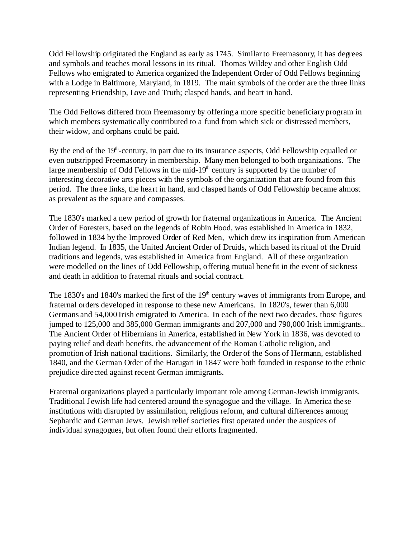Odd Fellowship originated the England as early as 1745. Similar to Freemasonry, it has degrees and symbols and teaches moral lessons in its ritual. Thomas Wildey and other English Odd Fellows who emigrated to America organized the Independent Order of Odd Fellows beginning with a Lodge in Baltimore, Maryland, in 1819. The main symbols of the order are the three links representing Friendship, Love and Truth; clasped hands, and heart in hand.

The Odd Fellows differed from Freemasonry by offering a more specific beneficiary program in which members systematically contributed to a fund from which sick or distressed members, their widow, and orphans could be paid.

By the end of the 19<sup>th</sup>-century, in part due to its insurance aspects, Odd Fellowship equalled or even outstripped Freemasonry in membership. Many men belonged to both organizations. The large membership of Odd Fellows in the mid- $19<sup>th</sup>$  century is supported by the number of interesting decorative arts pieces with the symbols of the organization that are found from this period. The three links, the heart in hand, and clasped hands of Odd Fellowship became almost as prevalent as the square and compasses.

The 1830's marked a new period of growth for fraternal organizations in America. The Ancient Order of Foresters, based on the legends of Robin Hood, was established in America in 1832, followed in 1834 by the Improved Order of Red Men, which drew its inspiration from American Indian legend. In 1835, the United Ancient Order of Druids, which based its ritual of the Druid traditions and legends, was established in America from England. All of these organization were modelled on the lines of Odd Fellowship, offering mutual benefit in the event of sickness and death in addition to fraternal rituals and social contract.

The 1830's and 1840's marked the first of the  $19<sup>th</sup>$  century waves of immigrants from Europe, and fraternal orders developed in response to these new Americans. In 1820's, fewer than 6,000 Germans and 54,000 Irish emigrated to America. In each of the next two decades, those figures jumped to 125,000 and 385,000 German immigrants and 207,000 and 790,000 Irish immigrants.. The Ancient Order of Hibernians in America, established in New York in 1836, was devoted to paying relief and death benefits, the advancement of the Roman Catholic religion, and promotion of Irish national traditions. Similarly, the Order of the Sons of Hermann, established 1840, and the German Order of the Harugari in 1847 were both founded in response to the ethnic prejudice directed against recent German immigrants.

Fraternal organizations played a particularly important role among German-Jewish immigrants. Traditional Jewish life had centered around the synagogue and the village. In America these institutions with disrupted by assimilation, religious reform, and cultural differences among Sephardic and German Jews. Jewish relief societies first operated under the auspices of individual synagogues, but often found their efforts fragmented.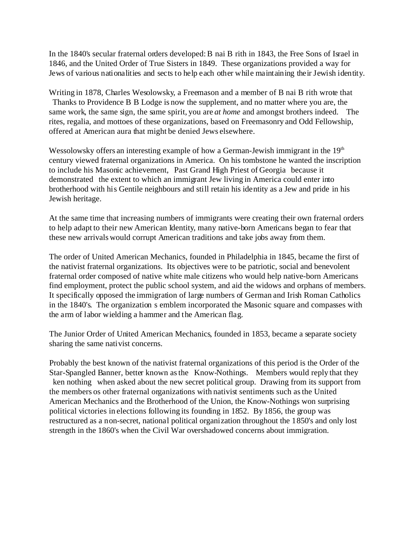In the 1840's secular fraternal orders developed: B nai B rith in 1843, the Free Sons of Israel in 1846, and the United Order of True Sisters in 1849. These organizations provided a way for Jews of various nationalities and sects to help each other while maintaining their Jewish identity.

Writing in 1878, Charles Wesolowsky, a Freemason and a member of B nai B rith wrote that Thanks to Providence B B Lodge is now the supplement, and no matter where you are, the same work, the same sign, the same spirit, you are *at home* and amongst brothers indeed. The rites, regalia, and mottoes of these organizations, based on Freemasonry and Odd Fellowship, offered at American aura that might be denied Jews elsewhere.

Wessolowsky offers an interesting example of how a German-Jewish immigrant in the  $19<sup>th</sup>$ century viewed fraternal organizations in America. On his tombstone he wanted the inscription to include his Masonic achievement, Past Grand High Priest of Georgia because it demonstrated the extent to which an immigrant Jew living in America could enter into brotherhood with his Gentile neighbours and still retain his identity as a Jew and pride in his Jewish heritage.

At the same time that increasing numbers of immigrants were creating their own fraternal orders to help adapt to their new American Identity, many native-born Americans began to fear that these new arrivals would corrupt American traditions and take jobs away from them.

The order of United American Mechanics, founded in Philadelphia in 1845, became the first of the nativist fraternal organizations. Its objectives were to be patriotic, social and benevolent fraternal order composed of native white male citizens who would help native-born Americans find employment, protect the public school system, and aid the widows and orphans of members. It specifically opposed the immigration of large numbers of German and Irish Roman Catholics in the 1840's. The organization s emblem incorporated the Masonic square and compasses with the arm of labor wielding a hammer and the American flag.

The Junior Order of United American Mechanics, founded in 1853, became a separate society sharing the same nativist concerns.

Probably the best known of the nativist fraternal organizations of this period is the Order of the Star-Spangled Banner, better known as the Know-Nothings. Members would reply that they ken nothing when asked about the new secret political group. Drawing from its support from the members os other fraternal organizations with nativist sentiments such as the United American Mechanics and the Brotherhood of the Union, the Know-Nothings won surprising political victories in elections following its founding in 1852. By 1856, the group was restructured as a non-secret, national political organization throughout the 1850's and only lost strength in the 1860's when the Civil War overshadowed concerns about immigration.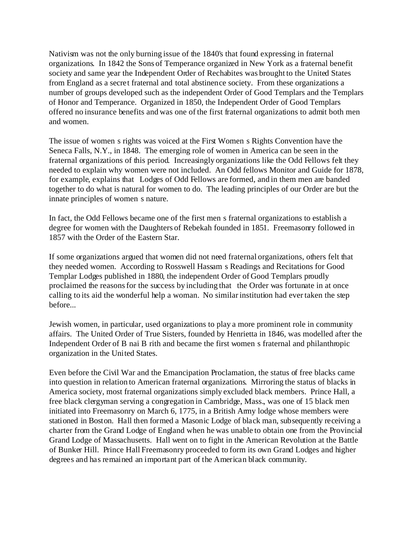Nativism was not the only burning issue of the 1840's that found expressing in fraternal organizations. In 1842 the Sons of Temperance organized in New York as a fraternal benefit society and same year the Independent Order of Rechabites was brought to the United States from England as a secret fraternal and total abstinence society. From these organizations a number of groups developed such as the independent Order of Good Templars and the Templars of Honor and Temperance. Organized in 1850, the Independent Order of Good Templars offered no insurance benefits and was one of the first fraternal organizations to admit both men and women.

The issue of women s rights was voiced at the First Women s Rights Convention have the Seneca Falls, N.Y., in 1848. The emerging role of women in America can be seen in the fraternal organizations of this period. Increasingly organizations like the Odd Fellows felt they needed to explain why women were not included. An Odd fellows Monitor and Guide for 1878, for example, explains that Lodges of Odd Fellows are formed, and in them men are banded together to do what is natural for women to do. The leading principles of our Order are but the innate principles of women s nature.

In fact, the Odd Fellows became one of the first men s fraternal organizations to establish a degree for women with the Daughters of Rebekah founded in 1851. Freemasonry followed in 1857 with the Order of the Eastern Star.

If some organizations argued that women did not need fraternal organizations, others felt that they needed women. According to Rosswell Hassam s Readings and Recitations for Good Templar Lodges published in 1880, the independent Order of Good Templars proudly proclaimed the reasons for the success by including that the Order was fortunate in at once calling to its aid the wonderful help a woman. No similar institution had ever taken the step before...

Jewish women, in particular, used organizations to play a more prominent role in community affairs. The United Order of True Sisters, founded by Henrietta in 1846, was modelled after the Independent Order of B nai B rith and became the first women s fraternal and philanthropic organization in the United States.

Even before the Civil War and the Emancipation Proclamation, the status of free blacks came into question in relation to American fraternal organizations. Mirroring the status of blacks in America society, most fraternal organizations simply excluded black members. Prince Hall, a free black clergyman serving a congregation in Cambridge, Mass., was one of 15 black men initiated into Freemasonry on March 6, 1775, in a British Army lodge whose members were stationed in Boston. Hall then formed a Masonic Lodge of black man, subsequently receiving a charter from the Grand Lodge of England when he was unable to obtain one from the Provincial Grand Lodge of Massachusetts. Hall went on to fight in the American Revolution at the Battle of Bunker Hill. Prince Hall Freemasonry proceeded to form its own Grand Lodges and higher degrees and has remained an important part of the American black community.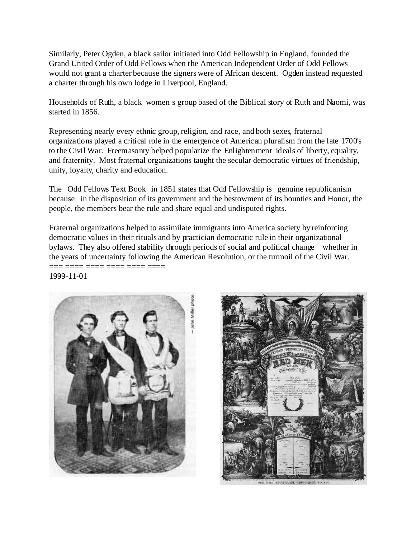Similarly, Peter Ogden, a black sailor initiated into Odd Fellowship in England, founded the Grand United Order of Odd Fellows when the American Independent Order of Odd Fellows would not grant a charter because the signers were of African descent. Ogden instead requested a charter through his own lodge in Liverpool, England.

Households of Ruth, a black women s group based of the Biblical story of Ruth and Naomi, was started in 1856.

Representing nearly every ethnic group, religion, and race, and both sexes, fraternal organizations played a critical role in the emergence of American pluralism from the late 1700's to the Civil War. Freemasonry helped popularize the Enlightenment ideals of liberty, equality, and fraternity. Most fraternal organizations taught the secular democratic virtues of friendship, unity, loyalty, charity and education.

The Odd Fellows Text Book in 1851 states that Odd Fellowship is genuine republicanism because in the disposition of its government and the bestowment of its bounties and Honor, the people, the members bear the rule and share equal and undisputed rights.

Fraternal organizations helped to assimilate immigrants into America society by reinforcing democratic values in their rituals and by practician democratic rule in their organizational bylaws. They also offered stability through periods of social and political change whether in the years of uncertainty following the American Revolution, or the turmoil of the Civil War. === ==== ==== ==== ==== ====

1999-11-01